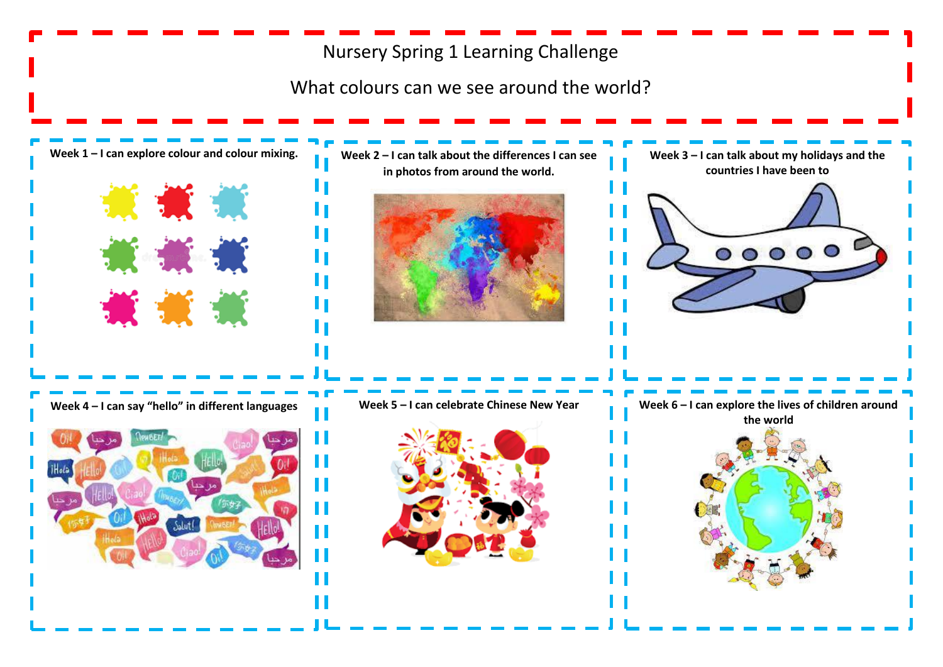## Nursery Spring 1 Learning Challenge

What colours can we see around the world?

**Week 1 – I can explore colour and colour mixing.** 

\*\*\*

黄 黄 黄

黃 黄 黄



Ш

ш

Ш

**Week 2 – I can talk about the differences I can see in photos from around the world.** 



**Week 3 – I can talk about my holidays and the countries I have been to**



 $\begin{array}{c|c} \circ & \circ & \circ & \circ \end{array}$ 

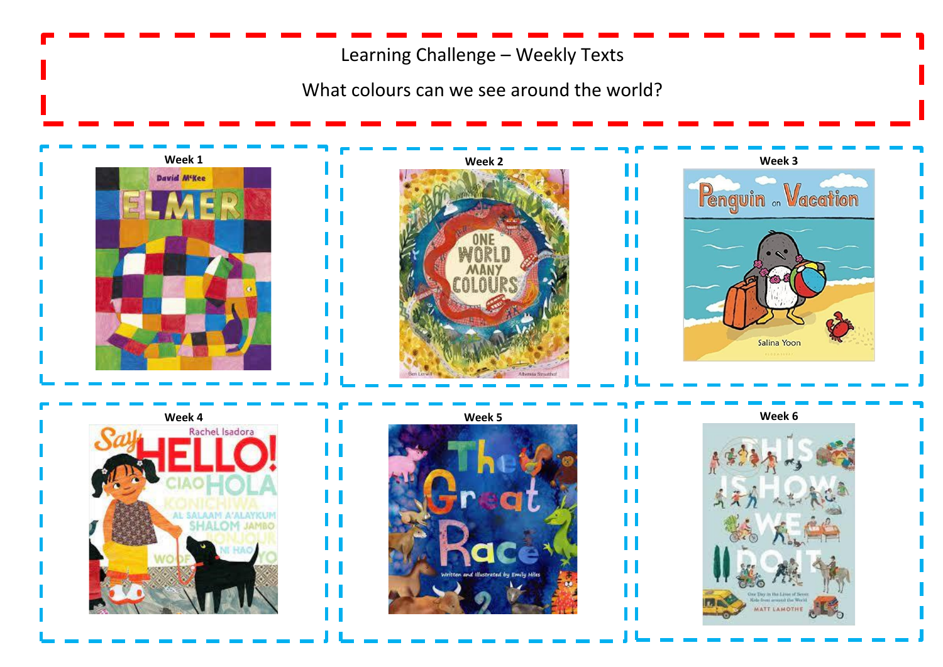Learning Challenge – Weekly Texts

What colours can we see around the world?







П

П

H

H

П

П

П

Ш

П

П

П

П

H



' '

H